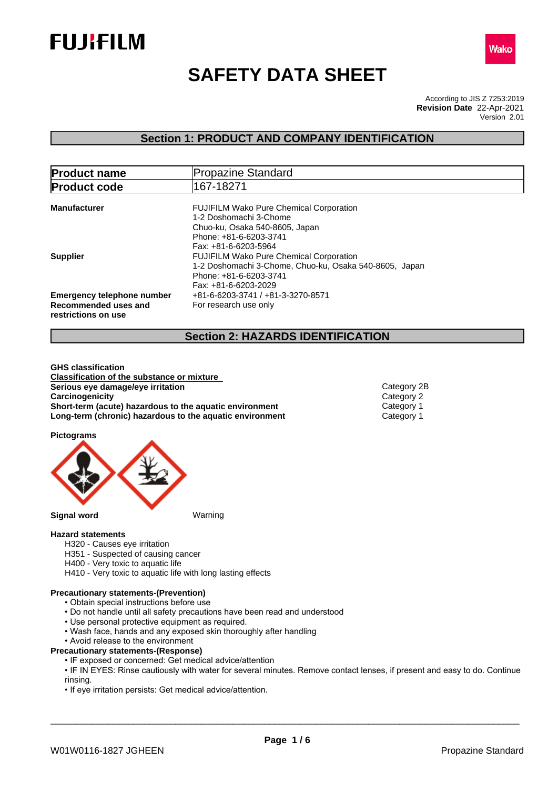



# **SAFETY DATA SHEET**

According to JIS Z 7253:2019 Version 2.01 **Revision Date** 22-Apr-2021

# **Section 1: PRODUCT AND COMPANY IDENTIFICATION**

| <b>Product name</b>                                                              | <b>Propazine Standard</b>                                                                                                                                    |  |  |
|----------------------------------------------------------------------------------|--------------------------------------------------------------------------------------------------------------------------------------------------------------|--|--|
| <b>Product code</b>                                                              | 167-18271                                                                                                                                                    |  |  |
| <b>Manufacturer</b>                                                              | <b>FUJIFILM Wako Pure Chemical Corporation</b><br>1-2 Doshomachi 3-Chome<br>Chuo-ku, Osaka 540-8605, Japan<br>Phone: +81-6-6203-3741<br>Fax: +81-6-6203-5964 |  |  |
| <b>Supplier</b>                                                                  | <b>FUJIFILM Wako Pure Chemical Corporation</b><br>1-2 Doshomachi 3-Chome, Chuo-ku, Osaka 540-8605, Japan<br>Phone: +81-6-6203-3741<br>Fax: +81-6-6203-2029   |  |  |
| <b>Emergency telephone number</b><br>Recommended uses and<br>restrictions on use | +81-6-6203-3741 / +81-3-3270-8571<br>For research use only                                                                                                   |  |  |

# **Section 2: HAZARDS IDENTIFICATION**

**GHS classification Classification of the substance or mixture Serious eye damage/eye irritation**<br> **Category 2B**<br> **Category 2B**<br>
Category 2 **Carcinogenicity** Category 2<br> **Short-term (acute) hazardous to the aquatic environment** Category 1 **Short-term (acute) hazardous to the aquatic environment** Category 1<br> **Long-term (chronic) hazardous to the aquatic environment** Category 1 **Long-term (chronic) hazardous to the aquatic environment** 

**Pictograms**



## **Hazard statements**

- H320 Causes eye irritation
- H351 Suspected of causing cancer
- H400 Very toxic to aquatic life
- H410 Very toxic to aquatic life with long lasting effects

# **Precautionary statements-(Prevention)**

- Obtain special instructions before use
- Do not handle until all safety precautions have been read and understood
- Use personal protective equipment as required.
- Wash face, hands and any exposed skin thoroughly after handling
- Avoid release to the environment
- **Precautionary statements-(Response)**
	- IF exposed or concerned: Get medical advice/attention
	- IF IN EYES: Rinse cautiously with water for several minutes. Remove contact lenses, if present and easy to do. Continue rinsing.

\_\_\_\_\_\_\_\_\_\_\_\_\_\_\_\_\_\_\_\_\_\_\_\_\_\_\_\_\_\_\_\_\_\_\_\_\_\_\_\_\_\_\_\_\_\_\_\_\_\_\_\_\_\_\_\_\_\_\_\_\_\_\_\_\_\_\_\_\_\_\_\_\_\_\_\_\_\_\_\_\_\_\_\_\_\_\_\_\_\_

• If eye irritation persists: Get medical advice/attention.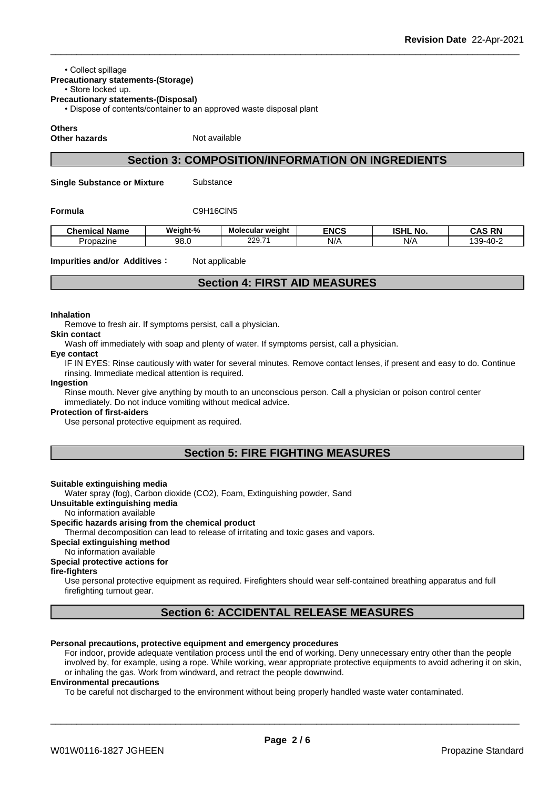#### • Collect spillage

# **Precautionary statements-(Storage)**

# • Store locked up.

**Precautionary statements-(Disposal)**

• Dispose of contents/container to an approved waste disposal plant

**Others**

**Other hazards** Not available

# **Section 3: COMPOSITION/INFORMATION ON INGREDIENTS**

**Single Substance or Mixture** Substance

**Formula** C9H16ClN5

| . .<br>Chemical Name | Weight-% | <b>Molecular weight</b> | <b>ENCS</b> | <b>ISHL</b><br>No   | <b>AS RN</b><br>۰.Α'        |
|----------------------|----------|-------------------------|-------------|---------------------|-----------------------------|
| Propazine            | 98.0     | 229.7'                  | N/A         | N/A<br>$\mathbf{u}$ | $\sim$<br>30.11<br>rv.<br>ື |

#### **Impurities and/or Additives**: Not applicable

# **Section 4: FIRST AID MEASURES**

#### **Inhalation**

Remove to fresh air. If symptoms persist, call a physician.

# **Skin contact**

Wash off immediately with soap and plenty of water. If symptoms persist, call a physician.

# **Eye contact**

IF IN EYES: Rinse cautiously with water for several minutes. Remove contact lenses, if present and easy to do. Continue rinsing. Immediate medical attention is required.

#### **Ingestion**

Rinse mouth. Never give anything by mouth to an unconscious person. Call a physician or poison control center immediately. Do not induce vomiting without medical advice.

#### **Protection of first-aiders**

Use personal protective equipment as required.

# **Section 5: FIRE FIGHTING MEASURES**

#### **Suitable extinguishing media**

Water spray (fog), Carbon dioxide (CO2), Foam, Extinguishing powder, Sand

# **Unsuitable extinguishing media**

# No information available

# **Specific hazards arising from the chemical product**

Thermal decomposition can lead to release of irritating and toxic gases and vapors.

#### **Special extinguishing method**

No information available

# **Special protective actions for**

## **fire-fighters**

Use personal protective equipment as required. Firefighters should wear self-contained breathing apparatus and full firefighting turnout gear.

# **Section 6: ACCIDENTAL RELEASE MEASURES**

#### **Personal precautions, protective equipment and emergency procedures**

For indoor, provide adequate ventilation process until the end of working. Deny unnecessary entry other than the people involved by, for example, using a rope. While working, wear appropriate protective equipments to avoid adhering it on skin, or inhaling the gas. Work from windward, and retract the people downwind.

#### **Environmental precautions**

To be careful not discharged to the environment without being properly handled waste water contaminated.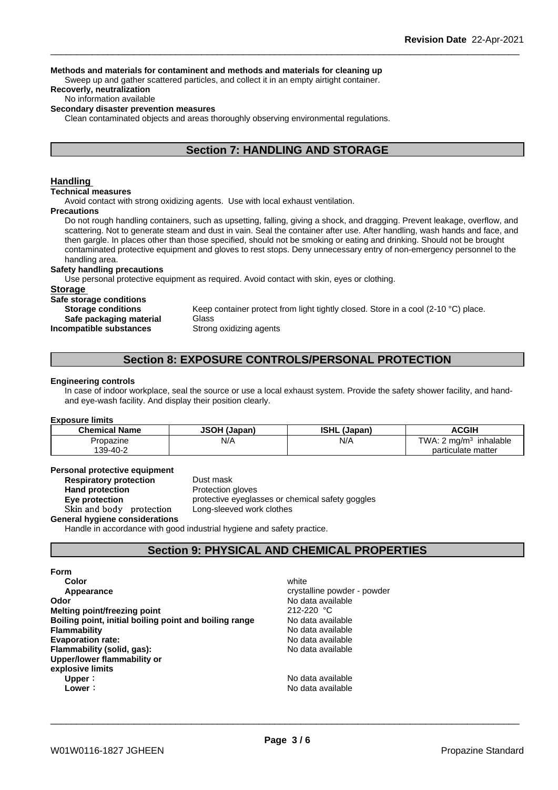#### **Methods and materials for contaminent and methods and materials for cleaning up**

Sweep up and gather scattered particles, and collect it in an empty airtight container.

# **Recoverly, neutralization**

No information available

# **Secondary disaster prevention measures**

Clean contaminated objects and areas thoroughly observing environmental regulations.

# **Section 7: HANDLING AND STORAGE**

## **Handling**

#### **Technical measures**

Avoid contact with strong oxidizing agents. Use with local exhaust ventilation.

#### **Precautions**

Do not rough handling containers, such as upsetting, falling, giving a shock, and dragging. Prevent leakage, overflow, and scattering. Not to generate steam and dust in vain. Seal the container after use. After handling, wash hands and face, and then gargle. In places other than those specified, should not be smoking or eating and drinking. Should not be brought contaminated protective equipment and gloves to rest stops. Deny unnecessary entry of non-emergency personnel to the handling area.

# **Safety handling precautions**

Use personal protective equipment as required.Avoid contact with skin, eyes or clothing.

#### **Storage**

**Safe storage conditions**

**Safe packaging material** Glass **Incompatible substances** Strong oxidizing agents

**Storage conditions** Keep container protect from light tightly closed. Store in a cool (2-10 °C) place.

# **Section 8: EXPOSURE CONTROLS/PERSONAL PROTECTION**

#### **Engineering controls**

In case of indoor workplace, seal the source or use a local exhaust system. Provide the safety shower facility, and handand eye-wash facility. And display their position clearly.

#### **Exposure limits**

| <b>Chemical Name</b> | <b>JSOH (J:</b><br>' (Japan, | <b>ISHL</b><br>(Japan,                     | <b>ACGIH</b>                    |
|----------------------|------------------------------|--------------------------------------------|---------------------------------|
| Propazine            | N/A                          | N/f<br>the contract of the contract of the | TWA.<br>$\sqrt{m}$<br>inhalable |
| 139-40-2             |                              |                                            | particulate matter              |

#### **Personal protective equipment**<br>**Respiratory protection** Dust mask **Respiratory protection**

**Hand protection** Protection gloves **Eye protection Exercise** protective eyeglasses or chemical safety goggles **Skinandbody protection** Long-sleeved work clothes

**General hygiene considerations**

Handle in accordance with good industrial hygiene and safety practice.

# **Section 9: PHYSICAL AND CHEMICAL PROPERTIES**

#### **Form**

| Color                                                  | white                       |
|--------------------------------------------------------|-----------------------------|
| Appearance                                             | crystalline powder - powder |
| Odor                                                   | No data available           |
| Melting point/freezing point                           | 212-220 °C                  |
| Boiling point, initial boiling point and boiling range | No data available           |
| Flammability                                           | No data available           |
| <b>Evaporation rate:</b>                               | No data available           |
| Flammability (solid, gas):                             | No data available           |
| Upper/lower flammability or                            |                             |
| explosive limits                                       |                             |
| Upper:                                                 | No data available           |
| Lower ∶                                                | No data available           |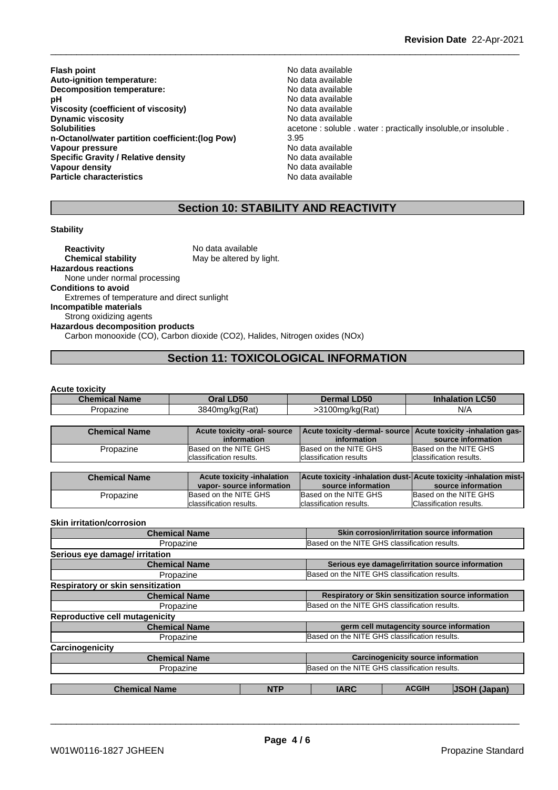- **Flash point**<br> **Auto-ignition temperature:**<br> **Auto-ignition temperature:**<br> **Auto-ignition temperature: Auto-ignition temperature:**<br> **Decomposition temperature:** No data available **Decomposition temperature: pH** No data available<br>Viscosity (coefficient of viscosity) No data available **Viscosity (coefficient of viscosity)** No data available<br> **Dynamic viscosity Dynamic viscosity Dynamic viscosity**<br>Solubilities **n-Octanol/water partition coefficient:(log Pow)** 3.95 **Vapour pressure** No data available **Specific Gravity / Relative density and the Specific Gravity No data available**<br> **Vapour density No data available Vapour density Particle characteristics** No data available
- acetone : soluble . water : practically insoluble,or insoluble .<br>3.95

# **Section 10: STABILITY AND REACTIVITY**

#### **Stability**

**Reactivity** No data available<br> **Chemical stability** May be altered by May be altered by light. **Hazardous reactions** None under normal processing **Conditions to avoid** Extremes of temperature and direct sunlight **Incompatible materials** Strong oxidizing agents **Hazardous decomposition products** Carbon monooxide (CO), Carbon dioxide (CO2), Halides, Nitrogen oxides (NOx)

# **Section 11: TOXICOLOGICAL INFORMATION**

#### **Acute toxicity**

| <b>Chemical Name</b> | I <sub>DE</sub><br>. Jra<br>∟טכ | LD50<br>Dermal L | CEC<br>Inhalati<br>.uu |
|----------------------|---------------------------------|------------------|------------------------|
| Propazine            | 3840mg/kg(Rat)                  | 3100mg/kg(Rat)   | N/A                    |

| <b>Chemical Name</b> | Acute toxicity -oral- source<br>information      | Acute toxicity -dermal- source Acute toxicity -inhalation gas-<br>information | source information                               |
|----------------------|--------------------------------------------------|-------------------------------------------------------------------------------|--------------------------------------------------|
| Propazine            | Based on the NITE GHS<br>classification results. | Based on the NITE GHS<br>classification results                               | Based on the NITE GHS<br>classification results. |
| <b>Chemical Name</b> | <b>Acute toxicity -inhalation</b>                | Acute toxicity -inhalation dust-Acute toxicity -inhalation mist-              |                                                  |

| source information<br>vapor-source information<br>source information<br>Based on the NITE GHS<br>Based on the NITE GHS<br>Based on the NITE GHS<br>Propazine<br>Classification results.<br>Iclassification results.<br>classification results. | 91191119911191119 |  |  |
|------------------------------------------------------------------------------------------------------------------------------------------------------------------------------------------------------------------------------------------------|-------------------|--|--|
|                                                                                                                                                                                                                                                |                   |  |  |
|                                                                                                                                                                                                                                                |                   |  |  |
|                                                                                                                                                                                                                                                |                   |  |  |

#### **Skin irritation/corrosion**

| <b>Chemical Name</b>                  |            |                                               | Skin corrosion/irritation source information         |                     |
|---------------------------------------|------------|-----------------------------------------------|------------------------------------------------------|---------------------|
| Propazine                             |            | Based on the NITE GHS classification results. |                                                      |                     |
| Serious eye damage/ irritation        |            |                                               |                                                      |                     |
| <b>Chemical Name</b>                  |            |                                               | Serious eye damage/irritation source information     |                     |
| Propazine                             |            | Based on the NITE GHS classification results. |                                                      |                     |
| Respiratory or skin sensitization     |            |                                               |                                                      |                     |
| <b>Chemical Name</b>                  |            |                                               | Respiratory or Skin sensitization source information |                     |
| Propazine                             |            | Based on the NITE GHS classification results. |                                                      |                     |
| <b>Reproductive cell mutagenicity</b> |            |                                               |                                                      |                     |
| <b>Chemical Name</b>                  |            |                                               | germ cell mutagencity source information             |                     |
| Propazine                             |            | Based on the NITE GHS classification results. |                                                      |                     |
| Carcinogenicity                       |            |                                               |                                                      |                     |
| <b>Chemical Name</b>                  |            |                                               | <b>Carcinogenicity source information</b>            |                     |
| Propazine                             |            | Based on the NITE GHS classification results. |                                                      |                     |
|                                       |            |                                               |                                                      |                     |
| <b>Chemical Name</b>                  | <b>NTP</b> | <b>IARC</b>                                   | <b>ACGIH</b>                                         | <b>JSOH (Japan)</b> |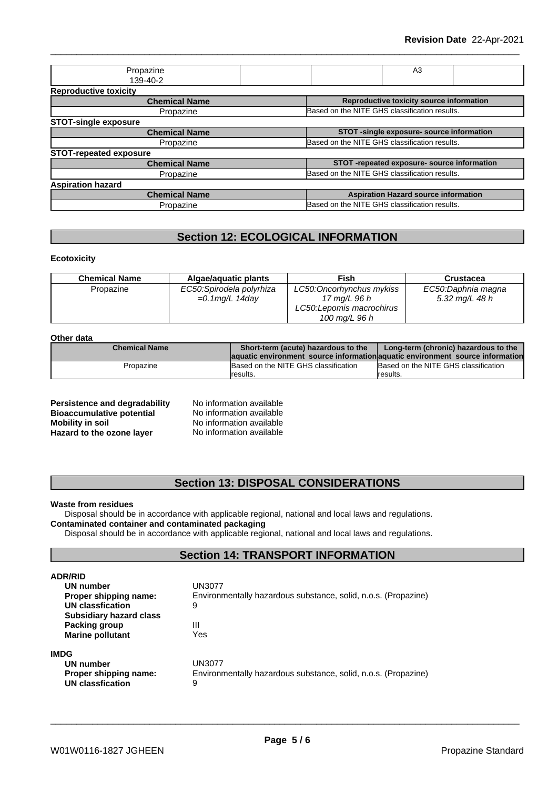| Propazine                     | A3                                            |
|-------------------------------|-----------------------------------------------|
| 139-40-2                      |                                               |
| <b>Reproductive toxicity</b>  |                                               |
| <b>Chemical Name</b>          | Reproductive toxicity source information      |
| Propazine                     | Based on the NITE GHS classification results. |
| <b>STOT-single exposure</b>   |                                               |
| <b>Chemical Name</b>          | STOT -single exposure- source information     |
| Propazine                     | Based on the NITE GHS classification results. |
| <b>STOT-repeated exposure</b> |                                               |
| <b>Chemical Name</b>          | STOT-repeated exposure- source information    |
| Propazine                     | Based on the NITE GHS classification results. |
| <b>Aspiration hazard</b>      |                                               |
| <b>Chemical Name</b>          | <b>Aspiration Hazard source information</b>   |
| Propazine                     | Based on the NITE GHS classification results. |
|                               |                                               |

# **Section 12: ECOLOGICAL INFORMATION**

**Ecotoxicity**

| <b>Chemical Name</b> | Algae/aquatic plants     | Fish                      | Crustacea          |
|----------------------|--------------------------|---------------------------|--------------------|
| Propazine            | EC50:Spirodela polyrhiza | LC50: Oncorhynchus mykiss | EC50:Daphnia magna |
|                      | $=0.1$ mg/L 14day        | 17 mg/L 96 h              | 5.32 mg/L 48 h     |
|                      |                          | LC50: Lepomis macrochirus |                    |
|                      |                          | 100 mg/L 96 h             |                    |

# **Other data**

| ------------         |                                                                                |                                      |
|----------------------|--------------------------------------------------------------------------------|--------------------------------------|
| <b>Chemical Name</b> | Short-term (acute) hazardous to the                                            | Long-term (chronic) hazardous to the |
|                      | laquatic environment source information aquatic environment source information |                                      |
| Propazine            | Based on the NITE GHS classification                                           | Based on the NITE GHS classification |
|                      | Iresults.                                                                      | results.                             |

| Persistence and degradability    | No information available |
|----------------------------------|--------------------------|
| <b>Bioaccumulative potential</b> | No information available |
| <b>Mobility in soil</b>          | No information available |
| Hazard to the ozone layer        | No information available |

# **Section 13: DISPOSAL CONSIDERATIONS**

# **Waste from residues**

Disposal should be in accordance with applicable regional, national and local laws and regulations. **Contaminated container and contaminated packaging**

Disposal should be in accordance with applicable regional, national and local laws and regulations.

# **Section 14: TRANSPORT INFORMATION**

| <b>ADR/RID</b><br>UN number<br>Proper shipping name:<br>UN classfication<br><b>Subsidiary hazard class</b><br>Packing group<br><b>Marine pollutant</b> | UN3077<br>Environmentally hazardous substance, solid, n.o.s. (Propazine)<br>9<br>Ш<br>Yes |
|--------------------------------------------------------------------------------------------------------------------------------------------------------|-------------------------------------------------------------------------------------------|
| <b>IMDG</b><br>UN number<br>Proper shipping name:<br>UN classfication                                                                                  | UN3077<br>Environmentally hazardous substance, solid, n.o.s. (Propazine)<br>9             |